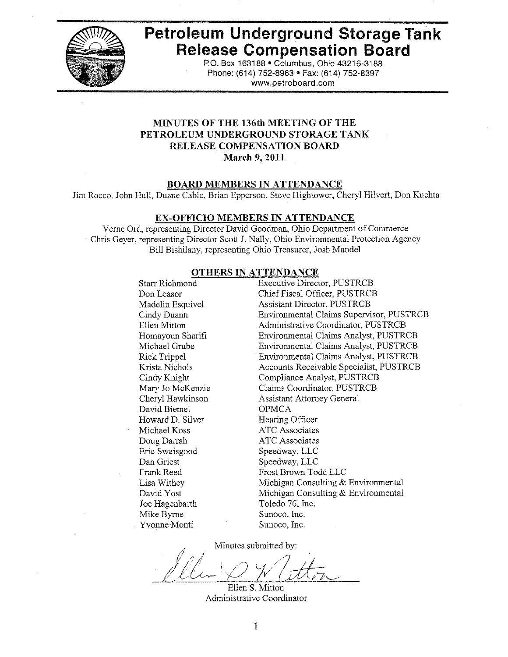

# **Petroleum Underground Storage Tank Release Compensation Board**

P.O. Box 163188 . Columbus, Ohio 43216-3188 Phone: (614) 752-8963 • Fax: (614) 752-8397 www.petroboard.com

## MINUTES OF THE 136th MEETING OF THE PETROLEUM UNDERGROUND STORAGE TANK RELEASE COMPENSATION BOARD March 9, 2011

#### **BOARD MEMBERS IN ATTENDANCE**

Jim Rocco, John Hull, Duane Cable, Brian Epperson, Steve Hightower, Cheryl Hilvert, Don Kuchta

#### EX-OFFICIO MEMBERS IN ATTENDANCE

Verne Ord, representing Director David Goodman, Ohio Department of Commerce Chris Geyer, representing Director Scott J. Nally, Ohio Environmental Protection Agency Bill Bishilany, representing Ohio Treasurer, Josh Mandel

#### **OTHERS IN ATTENDANCE**

| Starr Richmond      | Executive Director, PUSTRCB                     |
|---------------------|-------------------------------------------------|
| Don Leasor          | Chief Fiscal Officer, PUSTRCB                   |
| Madelin Esquivel    | <b>Assistant Director, PUSTRCB</b>              |
| Cindy Duann         | <b>Environmental Claims Supervisor, PUSTRCB</b> |
| <b>Ellen Mitton</b> | Administrative Coordinator, PUSTRCB             |
| Homayoun Sharifi    | Environmental Claims Analyst, PUSTRCB           |
| Michael Grube       | Environmental Claims Analyst, PUSTRCB           |
| <b>Rick Trippel</b> | Environmental Claims Analyst, PUSTRCB           |
| Krista Nichols      | Accounts Receivable Specialist, PUSTRCB         |
| Cindy Knight        | Compliance Analyst, PUSTRCB                     |
| Mary Jo McKenzie    | Claims Coordinator, PUSTRCB                     |
| Cheryl Hawkinson    | <b>Assistant Attorney General</b>               |
| David Biemel        | <b>OPMCA</b>                                    |
| Howard D. Silver    | Hearing Officer                                 |
| Michael Koss        | <b>ATC</b> Associates                           |
| Doug Darrah         | ATC Associates                                  |
| Eric Swaisgood      | Speedway, LLC                                   |
| Dan Griest          | Speedway, LLC                                   |
| Frank Reed          | Frost Brown Todd LLC                            |
| Lisa Withey         | Michigan Consulting & Environmental             |
| David Yost          | Michigan Consulting & Environmental             |
| Joe Hagenbarth      | Toledo 76, Inc.                                 |
| Mike Byrne          | Sunoco, Inc.                                    |
| Yvonne Monti        | Sunoco, Inc.                                    |
|                     |                                                 |

Minutes submitted by:

Ellen S. Mitton Administrative Coordinator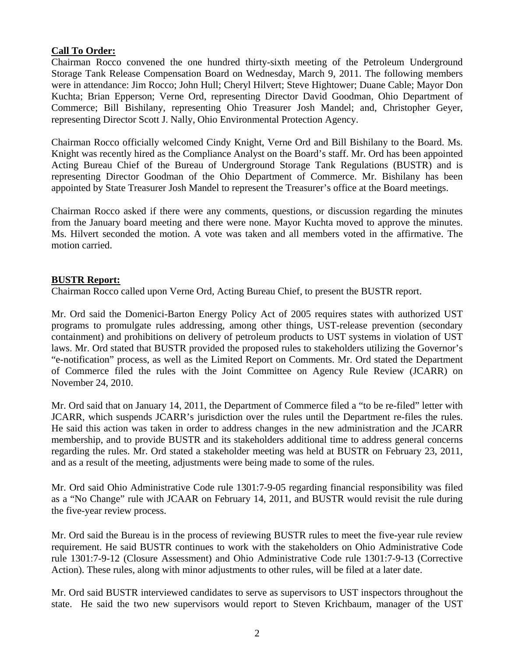# **Call To Order:**

Chairman Rocco convened the one hundred thirty-sixth meeting of the Petroleum Underground Storage Tank Release Compensation Board on Wednesday, March 9, 2011. The following members were in attendance: Jim Rocco; John Hull; Cheryl Hilvert; Steve Hightower; Duane Cable; Mayor Don Kuchta; Brian Epperson; Verne Ord, representing Director David Goodman, Ohio Department of Commerce; Bill Bishilany, representing Ohio Treasurer Josh Mandel; and, Christopher Geyer, representing Director Scott J. Nally, Ohio Environmental Protection Agency.

Chairman Rocco officially welcomed Cindy Knight, Verne Ord and Bill Bishilany to the Board. Ms. Knight was recently hired as the Compliance Analyst on the Board's staff. Mr. Ord has been appointed Acting Bureau Chief of the Bureau of Underground Storage Tank Regulations (BUSTR) and is representing Director Goodman of the Ohio Department of Commerce. Mr. Bishilany has been appointed by State Treasurer Josh Mandel to represent the Treasurer's office at the Board meetings.

Chairman Rocco asked if there were any comments, questions, or discussion regarding the minutes from the January board meeting and there were none. Mayor Kuchta moved to approve the minutes. Ms. Hilvert seconded the motion. A vote was taken and all members voted in the affirmative. The motion carried.

## **BUSTR Report:**

Chairman Rocco called upon Verne Ord, Acting Bureau Chief, to present the BUSTR report.

Mr. Ord said the Domenici-Barton Energy Policy Act of 2005 requires states with authorized UST programs to promulgate rules addressing, among other things, UST-release prevention (secondary containment) and prohibitions on delivery of petroleum products to UST systems in violation of UST laws. Mr. Ord stated that BUSTR provided the proposed rules to stakeholders utilizing the Governor's "e-notification" process, as well as the Limited Report on Comments. Mr. Ord stated the Department of Commerce filed the rules with the Joint Committee on Agency Rule Review (JCARR) on November 24, 2010.

Mr. Ord said that on January 14, 2011, the Department of Commerce filed a "to be re-filed" letter with JCARR, which suspends JCARR's jurisdiction over the rules until the Department re-files the rules. He said this action was taken in order to address changes in the new administration and the JCARR membership, and to provide BUSTR and its stakeholders additional time to address general concerns regarding the rules. Mr. Ord stated a stakeholder meeting was held at BUSTR on February 23, 2011, and as a result of the meeting, adjustments were being made to some of the rules.

Mr. Ord said Ohio Administrative Code rule 1301:7-9-05 regarding financial responsibility was filed as a "No Change" rule with JCAAR on February 14, 2011, and BUSTR would revisit the rule during the five-year review process.

Mr. Ord said the Bureau is in the process of reviewing BUSTR rules to meet the five-year rule review requirement. He said BUSTR continues to work with the stakeholders on Ohio Administrative Code rule 1301:7-9-12 (Closure Assessment) and Ohio Administrative Code rule 1301:7-9-13 (Corrective Action). These rules, along with minor adjustments to other rules, will be filed at a later date.

Mr. Ord said BUSTR interviewed candidates to serve as supervisors to UST inspectors throughout the state. He said the two new supervisors would report to Steven Krichbaum, manager of the UST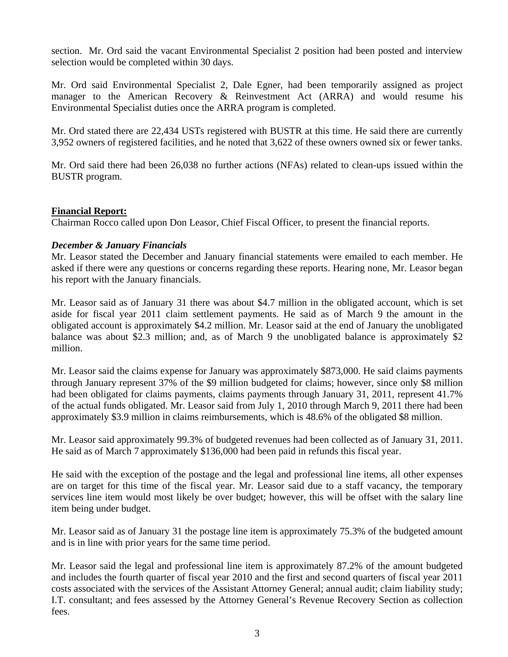section. Mr. Ord said the vacant Environmental Specialist 2 position had been posted and interview selection would be completed within 30 days.

Mr. Ord said Environmental Specialist 2, Dale Egner, had been temporarily assigned as project manager to the American Recovery & Reinvestment Act (ARRA) and would resume his Environmental Specialist duties once the ARRA program is completed.

Mr. Ord stated there are 22,434 USTs registered with BUSTR at this time. He said there are currently 3,952 owners of registered facilities, and he noted that 3,622 of these owners owned six or fewer tanks.

Mr. Ord said there had been 26,038 no further actions (NFAs) related to clean-ups issued within the BUSTR program.

## **Financial Report:**

Chairman Rocco called upon Don Leasor, Chief Fiscal Officer, to present the financial reports.

## *December & January Financials*

Mr. Leasor stated the December and January financial statements were emailed to each member. He asked if there were any questions or concerns regarding these reports. Hearing none, Mr. Leasor began his report with the January financials.

Mr. Leasor said as of January 31 there was about \$4.7 million in the obligated account, which is set aside for fiscal year 2011 claim settlement payments. He said as of March 9 the amount in the obligated account is approximately \$4.2 million. Mr. Leasor said at the end of January the unobligated balance was about \$2.3 million; and, as of March 9 the unobligated balance is approximately \$2 million.

Mr. Leasor said the claims expense for January was approximately \$873,000. He said claims payments through January represent 37% of the \$9 million budgeted for claims; however, since only \$8 million had been obligated for claims payments, claims payments through January 31, 2011, represent 41.7% of the actual funds obligated. Mr. Leasor said from July 1, 2010 through March 9, 2011 there had been approximately \$3.9 million in claims reimbursements, which is 48.6% of the obligated \$8 million.

Mr. Leasor said approximately 99.3% of budgeted revenues had been collected as of January 31, 2011. He said as of March 7 approximately \$136,000 had been paid in refunds this fiscal year.

He said with the exception of the postage and the legal and professional line items, all other expenses are on target for this time of the fiscal year. Mr. Leasor said due to a staff vacancy, the temporary services line item would most likely be over budget; however, this will be offset with the salary line item being under budget.

Mr. Leasor said as of January 31 the postage line item is approximately 75.3% of the budgeted amount and is in line with prior years for the same time period.

Mr. Leasor said the legal and professional line item is approximately 87.2% of the amount budgeted and includes the fourth quarter of fiscal year 2010 and the first and second quarters of fiscal year 2011 costs associated with the services of the Assistant Attorney General; annual audit; claim liability study; I.T. consultant; and fees assessed by the Attorney General's Revenue Recovery Section as collection fees.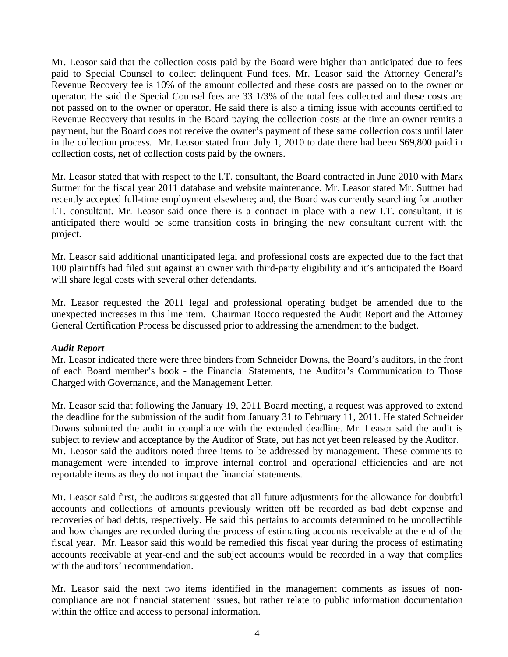Mr. Leasor said that the collection costs paid by the Board were higher than anticipated due to fees paid to Special Counsel to collect delinquent Fund fees. Mr. Leasor said the Attorney General's Revenue Recovery fee is 10% of the amount collected and these costs are passed on to the owner or operator. He said the Special Counsel fees are 33 1/3% of the total fees collected and these costs are not passed on to the owner or operator. He said there is also a timing issue with accounts certified to Revenue Recovery that results in the Board paying the collection costs at the time an owner remits a payment, but the Board does not receive the owner's payment of these same collection costs until later in the collection process. Mr. Leasor stated from July 1, 2010 to date there had been \$69,800 paid in collection costs, net of collection costs paid by the owners.

Mr. Leasor stated that with respect to the I.T. consultant, the Board contracted in June 2010 with Mark Suttner for the fiscal year 2011 database and website maintenance. Mr. Leasor stated Mr. Suttner had recently accepted full-time employment elsewhere; and, the Board was currently searching for another I.T. consultant. Mr. Leasor said once there is a contract in place with a new I.T. consultant, it is anticipated there would be some transition costs in bringing the new consultant current with the project.

Mr. Leasor said additional unanticipated legal and professional costs are expected due to the fact that 100 plaintiffs had filed suit against an owner with third-party eligibility and it's anticipated the Board will share legal costs with several other defendants.

Mr. Leasor requested the 2011 legal and professional operating budget be amended due to the unexpected increases in this line item. Chairman Rocco requested the Audit Report and the Attorney General Certification Process be discussed prior to addressing the amendment to the budget.

## *Audit Report*

Mr. Leasor indicated there were three binders from Schneider Downs, the Board's auditors, in the front of each Board member's book - the Financial Statements, the Auditor's Communication to Those Charged with Governance, and the Management Letter.

Mr. Leasor said that following the January 19, 2011 Board meeting, a request was approved to extend the deadline for the submission of the audit from January 31 to February 11, 2011. He stated Schneider Downs submitted the audit in compliance with the extended deadline. Mr. Leasor said the audit is subject to review and acceptance by the Auditor of State, but has not yet been released by the Auditor. Mr. Leasor said the auditors noted three items to be addressed by management. These comments to management were intended to improve internal control and operational efficiencies and are not reportable items as they do not impact the financial statements.

Mr. Leasor said first, the auditors suggested that all future adjustments for the allowance for doubtful accounts and collections of amounts previously written off be recorded as bad debt expense and recoveries of bad debts, respectively. He said this pertains to accounts determined to be uncollectible and how changes are recorded during the process of estimating accounts receivable at the end of the fiscal year. Mr. Leasor said this would be remedied this fiscal year during the process of estimating accounts receivable at year-end and the subject accounts would be recorded in a way that complies with the auditors' recommendation.

Mr. Leasor said the next two items identified in the management comments as issues of noncompliance are not financial statement issues, but rather relate to public information documentation within the office and access to personal information.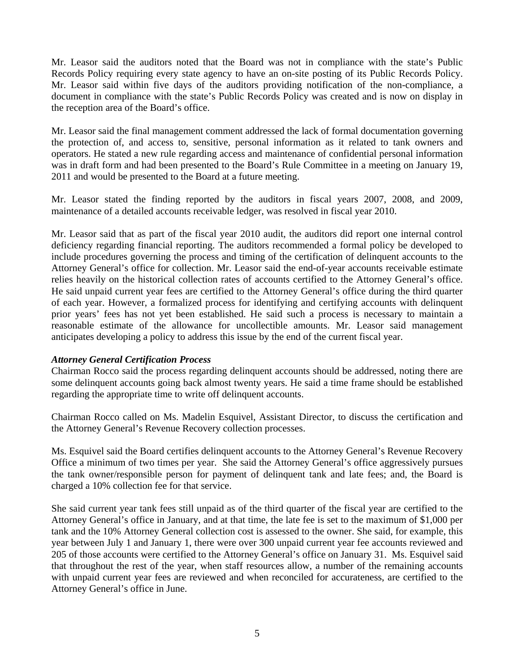Mr. Leasor said the auditors noted that the Board was not in compliance with the state's Public Records Policy requiring every state agency to have an on-site posting of its Public Records Policy. Mr. Leasor said within five days of the auditors providing notification of the non-compliance, a document in compliance with the state's Public Records Policy was created and is now on display in the reception area of the Board's office.

Mr. Leasor said the final management comment addressed the lack of formal documentation governing the protection of, and access to, sensitive, personal information as it related to tank owners and operators. He stated a new rule regarding access and maintenance of confidential personal information was in draft form and had been presented to the Board's Rule Committee in a meeting on January 19, 2011 and would be presented to the Board at a future meeting.

Mr. Leasor stated the finding reported by the auditors in fiscal years 2007, 2008, and 2009, maintenance of a detailed accounts receivable ledger, was resolved in fiscal year 2010.

Mr. Leasor said that as part of the fiscal year 2010 audit, the auditors did report one internal control deficiency regarding financial reporting. The auditors recommended a formal policy be developed to include procedures governing the process and timing of the certification of delinquent accounts to the Attorney General's office for collection. Mr. Leasor said the end-of-year accounts receivable estimate relies heavily on the historical collection rates of accounts certified to the Attorney General's office. He said unpaid current year fees are certified to the Attorney General's office during the third quarter of each year. However, a formalized process for identifying and certifying accounts with delinquent prior years' fees has not yet been established. He said such a process is necessary to maintain a reasonable estimate of the allowance for uncollectible amounts. Mr. Leasor said management anticipates developing a policy to address this issue by the end of the current fiscal year.

## *Attorney General Certification Process*

Chairman Rocco said the process regarding delinquent accounts should be addressed, noting there are some delinquent accounts going back almost twenty years. He said a time frame should be established regarding the appropriate time to write off delinquent accounts.

Chairman Rocco called on Ms. Madelin Esquivel, Assistant Director, to discuss the certification and the Attorney General's Revenue Recovery collection processes.

Ms. Esquivel said the Board certifies delinquent accounts to the Attorney General's Revenue Recovery Office a minimum of two times per year. She said the Attorney General's office aggressively pursues the tank owner/responsible person for payment of delinquent tank and late fees; and, the Board is charged a 10% collection fee for that service.

She said current year tank fees still unpaid as of the third quarter of the fiscal year are certified to the Attorney General's office in January, and at that time, the late fee is set to the maximum of \$1,000 per tank and the 10% Attorney General collection cost is assessed to the owner. She said, for example, this year between July 1 and January 1, there were over 300 unpaid current year fee accounts reviewed and 205 of those accounts were certified to the Attorney General's office on January 31. Ms. Esquivel said that throughout the rest of the year, when staff resources allow, a number of the remaining accounts with unpaid current year fees are reviewed and when reconciled for accurateness, are certified to the Attorney General's office in June.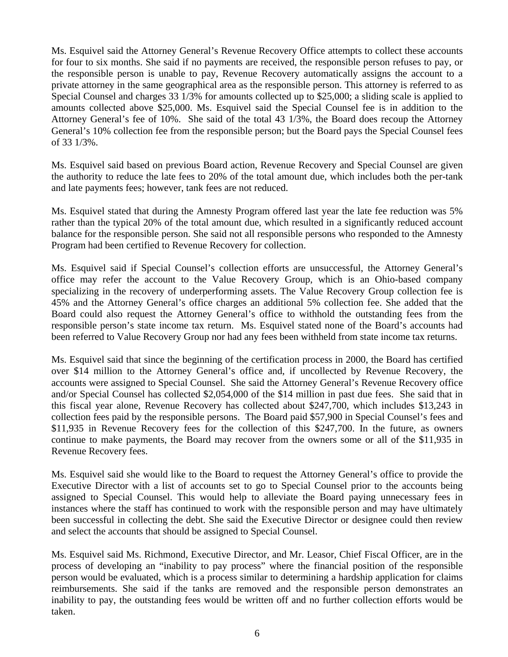Ms. Esquivel said the Attorney General's Revenue Recovery Office attempts to collect these accounts for four to six months. She said if no payments are received, the responsible person refuses to pay, or the responsible person is unable to pay, Revenue Recovery automatically assigns the account to a private attorney in the same geographical area as the responsible person. This attorney is referred to as Special Counsel and charges 33 1/3% for amounts collected up to \$25,000; a sliding scale is applied to amounts collected above \$25,000. Ms. Esquivel said the Special Counsel fee is in addition to the Attorney General's fee of 10%. She said of the total 43 1/3%, the Board does recoup the Attorney General's 10% collection fee from the responsible person; but the Board pays the Special Counsel fees of 33 1/3%.

Ms. Esquivel said based on previous Board action, Revenue Recovery and Special Counsel are given the authority to reduce the late fees to 20% of the total amount due, which includes both the per-tank and late payments fees; however, tank fees are not reduced.

Ms. Esquivel stated that during the Amnesty Program offered last year the late fee reduction was 5% rather than the typical 20% of the total amount due, which resulted in a significantly reduced account balance for the responsible person. She said not all responsible persons who responded to the Amnesty Program had been certified to Revenue Recovery for collection.

Ms. Esquivel said if Special Counsel's collection efforts are unsuccessful, the Attorney General's office may refer the account to the Value Recovery Group, which is an Ohio-based company specializing in the recovery of underperforming assets. The Value Recovery Group collection fee is 45% and the Attorney General's office charges an additional 5% collection fee. She added that the Board could also request the Attorney General's office to withhold the outstanding fees from the responsible person's state income tax return. Ms. Esquivel stated none of the Board's accounts had been referred to Value Recovery Group nor had any fees been withheld from state income tax returns.

Ms. Esquivel said that since the beginning of the certification process in 2000, the Board has certified over \$14 million to the Attorney General's office and, if uncollected by Revenue Recovery, the accounts were assigned to Special Counsel. She said the Attorney General's Revenue Recovery office and/or Special Counsel has collected \$2,054,000 of the \$14 million in past due fees. She said that in this fiscal year alone, Revenue Recovery has collected about \$247,700, which includes \$13,243 in collection fees paid by the responsible persons. The Board paid \$57,900 in Special Counsel's fees and \$11,935 in Revenue Recovery fees for the collection of this \$247,700. In the future, as owners continue to make payments, the Board may recover from the owners some or all of the \$11,935 in Revenue Recovery fees.

Ms. Esquivel said she would like to the Board to request the Attorney General's office to provide the Executive Director with a list of accounts set to go to Special Counsel prior to the accounts being assigned to Special Counsel. This would help to alleviate the Board paying unnecessary fees in instances where the staff has continued to work with the responsible person and may have ultimately been successful in collecting the debt. She said the Executive Director or designee could then review and select the accounts that should be assigned to Special Counsel.

Ms. Esquivel said Ms. Richmond, Executive Director, and Mr. Leasor, Chief Fiscal Officer, are in the process of developing an "inability to pay process" where the financial position of the responsible person would be evaluated, which is a process similar to determining a hardship application for claims reimbursements. She said if the tanks are removed and the responsible person demonstrates an inability to pay, the outstanding fees would be written off and no further collection efforts would be taken.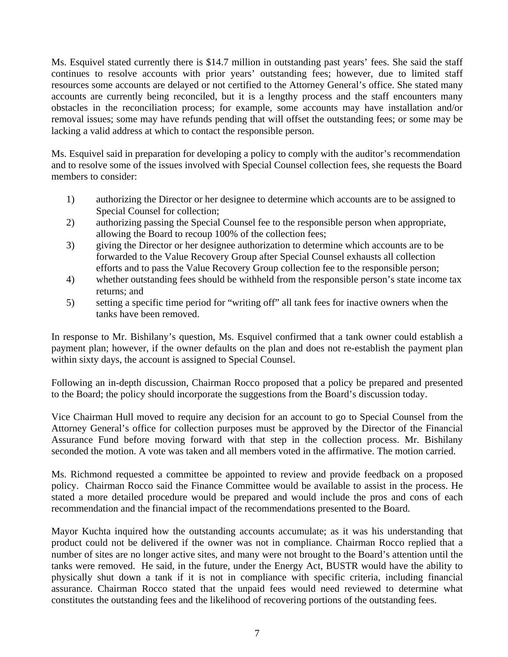Ms. Esquivel stated currently there is \$14.7 million in outstanding past years' fees. She said the staff continues to resolve accounts with prior years' outstanding fees; however, due to limited staff resources some accounts are delayed or not certified to the Attorney General's office. She stated many accounts are currently being reconciled, but it is a lengthy process and the staff encounters many obstacles in the reconciliation process; for example, some accounts may have installation and/or removal issues; some may have refunds pending that will offset the outstanding fees; or some may be lacking a valid address at which to contact the responsible person.

Ms. Esquivel said in preparation for developing a policy to comply with the auditor's recommendation and to resolve some of the issues involved with Special Counsel collection fees, she requests the Board members to consider:

- 1) authorizing the Director or her designee to determine which accounts are to be assigned to Special Counsel for collection;
- 2) authorizing passing the Special Counsel fee to the responsible person when appropriate, allowing the Board to recoup 100% of the collection fees;
- 3) giving the Director or her designee authorization to determine which accounts are to be forwarded to the Value Recovery Group after Special Counsel exhausts all collection efforts and to pass the Value Recovery Group collection fee to the responsible person;
- 4) whether outstanding fees should be withheld from the responsible person's state income tax returns; and
- 5) setting a specific time period for "writing off" all tank fees for inactive owners when the tanks have been removed.

In response to Mr. Bishilany's question, Ms. Esquivel confirmed that a tank owner could establish a payment plan; however, if the owner defaults on the plan and does not re-establish the payment plan within sixty days, the account is assigned to Special Counsel.

Following an in-depth discussion, Chairman Rocco proposed that a policy be prepared and presented to the Board; the policy should incorporate the suggestions from the Board's discussion today.

Vice Chairman Hull moved to require any decision for an account to go to Special Counsel from the Attorney General's office for collection purposes must be approved by the Director of the Financial Assurance Fund before moving forward with that step in the collection process. Mr. Bishilany seconded the motion. A vote was taken and all members voted in the affirmative. The motion carried.

Ms. Richmond requested a committee be appointed to review and provide feedback on a proposed policy. Chairman Rocco said the Finance Committee would be available to assist in the process. He stated a more detailed procedure would be prepared and would include the pros and cons of each recommendation and the financial impact of the recommendations presented to the Board.

Mayor Kuchta inquired how the outstanding accounts accumulate; as it was his understanding that product could not be delivered if the owner was not in compliance. Chairman Rocco replied that a number of sites are no longer active sites, and many were not brought to the Board's attention until the tanks were removed. He said, in the future, under the Energy Act, BUSTR would have the ability to physically shut down a tank if it is not in compliance with specific criteria, including financial assurance. Chairman Rocco stated that the unpaid fees would need reviewed to determine what constitutes the outstanding fees and the likelihood of recovering portions of the outstanding fees.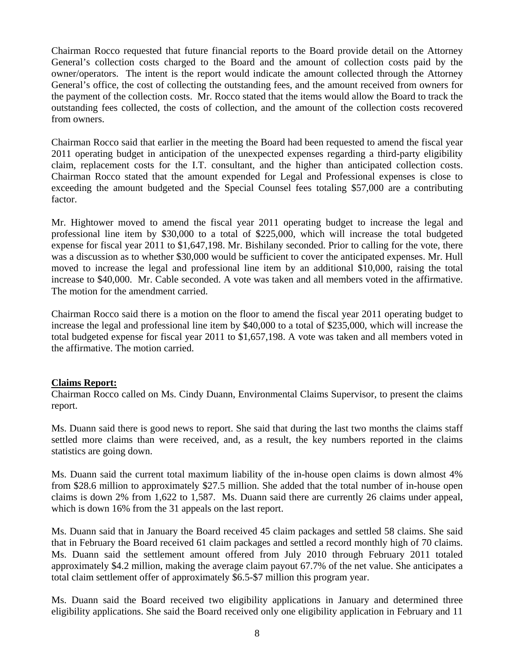Chairman Rocco requested that future financial reports to the Board provide detail on the Attorney General's collection costs charged to the Board and the amount of collection costs paid by the owner/operators. The intent is the report would indicate the amount collected through the Attorney General's office, the cost of collecting the outstanding fees, and the amount received from owners for the payment of the collection costs. Mr. Rocco stated that the items would allow the Board to track the outstanding fees collected, the costs of collection, and the amount of the collection costs recovered from owners.

Chairman Rocco said that earlier in the meeting the Board had been requested to amend the fiscal year 2011 operating budget in anticipation of the unexpected expenses regarding a third-party eligibility claim, replacement costs for the I.T. consultant, and the higher than anticipated collection costs. Chairman Rocco stated that the amount expended for Legal and Professional expenses is close to exceeding the amount budgeted and the Special Counsel fees totaling \$57,000 are a contributing factor.

Mr. Hightower moved to amend the fiscal year 2011 operating budget to increase the legal and professional line item by \$30,000 to a total of \$225,000, which will increase the total budgeted expense for fiscal year 2011 to \$1,647,198. Mr. Bishilany seconded. Prior to calling for the vote, there was a discussion as to whether \$30,000 would be sufficient to cover the anticipated expenses. Mr. Hull moved to increase the legal and professional line item by an additional \$10,000, raising the total increase to \$40,000. Mr. Cable seconded. A vote was taken and all members voted in the affirmative. The motion for the amendment carried.

Chairman Rocco said there is a motion on the floor to amend the fiscal year 2011 operating budget to increase the legal and professional line item by \$40,000 to a total of \$235,000, which will increase the total budgeted expense for fiscal year 2011 to \$1,657,198. A vote was taken and all members voted in the affirmative. The motion carried.

## **Claims Report:**

Chairman Rocco called on Ms. Cindy Duann, Environmental Claims Supervisor, to present the claims report.

Ms. Duann said there is good news to report. She said that during the last two months the claims staff settled more claims than were received, and, as a result, the key numbers reported in the claims statistics are going down.

Ms. Duann said the current total maximum liability of the in-house open claims is down almost 4% from \$28.6 million to approximately \$27.5 million. She added that the total number of in-house open claims is down 2% from 1,622 to 1,587. Ms. Duann said there are currently 26 claims under appeal, which is down 16% from the 31 appeals on the last report.

Ms. Duann said that in January the Board received 45 claim packages and settled 58 claims. She said that in February the Board received 61 claim packages and settled a record monthly high of 70 claims. Ms. Duann said the settlement amount offered from July 2010 through February 2011 totaled approximately \$4.2 million, making the average claim payout 67.7% of the net value. She anticipates a total claim settlement offer of approximately \$6.5-\$7 million this program year.

Ms. Duann said the Board received two eligibility applications in January and determined three eligibility applications. She said the Board received only one eligibility application in February and 11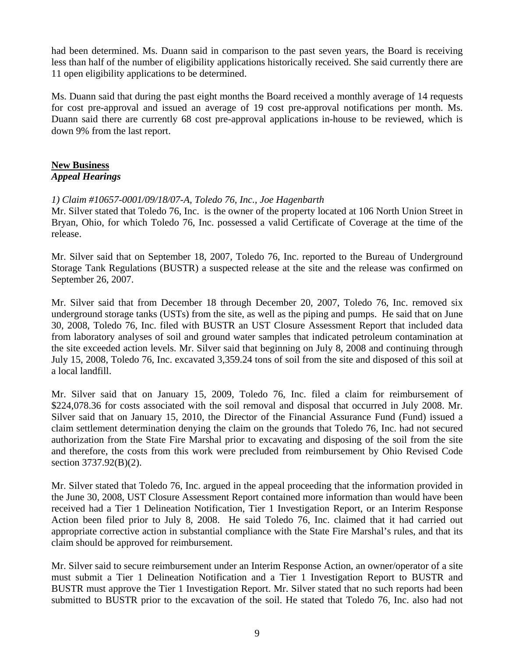had been determined. Ms. Duann said in comparison to the past seven years, the Board is receiving less than half of the number of eligibility applications historically received. She said currently there are 11 open eligibility applications to be determined.

Ms. Duann said that during the past eight months the Board received a monthly average of 14 requests for cost pre-approval and issued an average of 19 cost pre-approval notifications per month. Ms. Duann said there are currently 68 cost pre-approval applications in-house to be reviewed, which is down 9% from the last report.

## **New Business** *Appeal Hearings*

# *1) Claim #10657-0001/09/18/07-A, Toledo 76, Inc., Joe Hagenbarth*

Mr. Silver stated that Toledo 76, Inc. is the owner of the property located at 106 North Union Street in Bryan, Ohio, for which Toledo 76, Inc. possessed a valid Certificate of Coverage at the time of the release.

Mr. Silver said that on September 18, 2007, Toledo 76, Inc. reported to the Bureau of Underground Storage Tank Regulations (BUSTR) a suspected release at the site and the release was confirmed on September 26, 2007.

Mr. Silver said that from December 18 through December 20, 2007, Toledo 76, Inc. removed six underground storage tanks (USTs) from the site, as well as the piping and pumps. He said that on June 30, 2008, Toledo 76, Inc. filed with BUSTR an UST Closure Assessment Report that included data from laboratory analyses of soil and ground water samples that indicated petroleum contamination at the site exceeded action levels. Mr. Silver said that beginning on July 8, 2008 and continuing through July 15, 2008, Toledo 76, Inc. excavated 3,359.24 tons of soil from the site and disposed of this soil at a local landfill.

Mr. Silver said that on January 15, 2009, Toledo 76, Inc. filed a claim for reimbursement of \$224,078.36 for costs associated with the soil removal and disposal that occurred in July 2008. Mr. Silver said that on January 15, 2010, the Director of the Financial Assurance Fund (Fund) issued a claim settlement determination denying the claim on the grounds that Toledo 76, Inc. had not secured authorization from the State Fire Marshal prior to excavating and disposing of the soil from the site and therefore, the costs from this work were precluded from reimbursement by Ohio Revised Code section 3737.92(B)(2).

Mr. Silver stated that Toledo 76, Inc. argued in the appeal proceeding that the information provided in the June 30, 2008, UST Closure Assessment Report contained more information than would have been received had a Tier 1 Delineation Notification, Tier 1 Investigation Report, or an Interim Response Action been filed prior to July 8, 2008. He said Toledo 76, Inc. claimed that it had carried out appropriate corrective action in substantial compliance with the State Fire Marshal's rules, and that its claim should be approved for reimbursement.

Mr. Silver said to secure reimbursement under an Interim Response Action, an owner/operator of a site must submit a Tier 1 Delineation Notification and a Tier 1 Investigation Report to BUSTR and BUSTR must approve the Tier 1 Investigation Report. Mr. Silver stated that no such reports had been submitted to BUSTR prior to the excavation of the soil. He stated that Toledo 76, Inc. also had not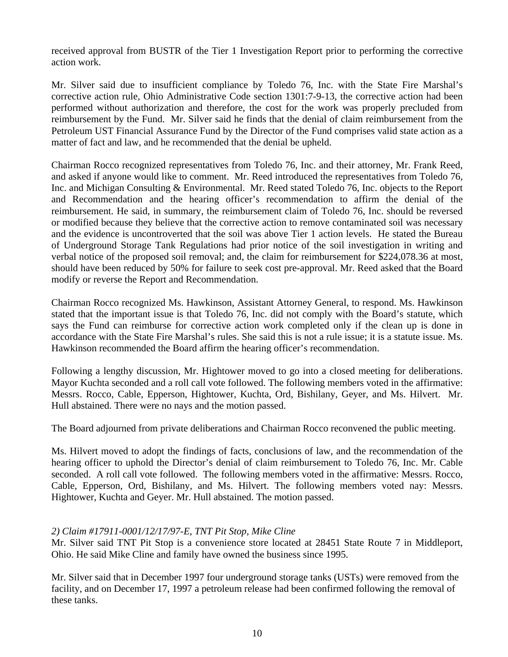received approval from BUSTR of the Tier 1 Investigation Report prior to performing the corrective action work.

Mr. Silver said due to insufficient compliance by Toledo 76, Inc. with the State Fire Marshal's corrective action rule, Ohio Administrative Code section 1301:7-9-13, the corrective action had been performed without authorization and therefore, the cost for the work was properly precluded from reimbursement by the Fund. Mr. Silver said he finds that the denial of claim reimbursement from the Petroleum UST Financial Assurance Fund by the Director of the Fund comprises valid state action as a matter of fact and law, and he recommended that the denial be upheld.

Chairman Rocco recognized representatives from Toledo 76, Inc. and their attorney, Mr. Frank Reed, and asked if anyone would like to comment. Mr. Reed introduced the representatives from Toledo 76, Inc. and Michigan Consulting & Environmental. Mr. Reed stated Toledo 76, Inc. objects to the Report and Recommendation and the hearing officer's recommendation to affirm the denial of the reimbursement. He said, in summary, the reimbursement claim of Toledo 76, Inc. should be reversed or modified because they believe that the corrective action to remove contaminated soil was necessary and the evidence is uncontroverted that the soil was above Tier 1 action levels. He stated the Bureau of Underground Storage Tank Regulations had prior notice of the soil investigation in writing and verbal notice of the proposed soil removal; and, the claim for reimbursement for \$224,078.36 at most, should have been reduced by 50% for failure to seek cost pre-approval. Mr. Reed asked that the Board modify or reverse the Report and Recommendation.

Chairman Rocco recognized Ms. Hawkinson, Assistant Attorney General, to respond. Ms. Hawkinson stated that the important issue is that Toledo 76, Inc. did not comply with the Board's statute, which says the Fund can reimburse for corrective action work completed only if the clean up is done in accordance with the State Fire Marshal's rules. She said this is not a rule issue; it is a statute issue. Ms. Hawkinson recommended the Board affirm the hearing officer's recommendation.

Following a lengthy discussion, Mr. Hightower moved to go into a closed meeting for deliberations. Mayor Kuchta seconded and a roll call vote followed. The following members voted in the affirmative: Messrs. Rocco, Cable, Epperson, Hightower, Kuchta, Ord, Bishilany, Geyer, and Ms. Hilvert. Mr. Hull abstained. There were no nays and the motion passed.

The Board adjourned from private deliberations and Chairman Rocco reconvened the public meeting.

Ms. Hilvert moved to adopt the findings of facts, conclusions of law, and the recommendation of the hearing officer to uphold the Director's denial of claim reimbursement to Toledo 76, Inc. Mr. Cable seconded. A roll call vote followed. The following members voted in the affirmative: Messrs. Rocco, Cable, Epperson, Ord, Bishilany, and Ms. Hilvert. The following members voted nay: Messrs. Hightower, Kuchta and Geyer. Mr. Hull abstained. The motion passed.

## *2) Claim #17911-0001/12/17/97-E, TNT Pit Stop, Mike Cline*

Mr. Silver said TNT Pit Stop is a convenience store located at 28451 State Route 7 in Middleport, Ohio. He said Mike Cline and family have owned the business since 1995.

Mr. Silver said that in December 1997 four underground storage tanks (USTs) were removed from the facility, and on December 17, 1997 a petroleum release had been confirmed following the removal of these tanks.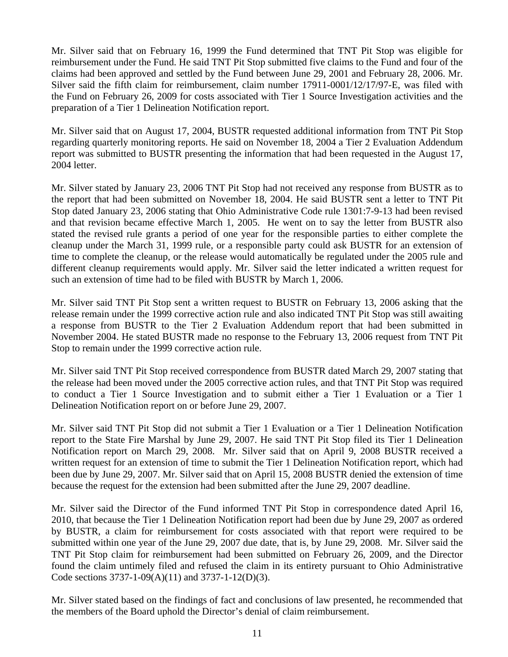Mr. Silver said that on February 16, 1999 the Fund determined that TNT Pit Stop was eligible for reimbursement under the Fund. He said TNT Pit Stop submitted five claims to the Fund and four of the claims had been approved and settled by the Fund between June 29, 2001 and February 28, 2006. Mr. Silver said the fifth claim for reimbursement, claim number 17911-0001/12/17/97-E, was filed with the Fund on February 26, 2009 for costs associated with Tier 1 Source Investigation activities and the preparation of a Tier 1 Delineation Notification report.

Mr. Silver said that on August 17, 2004, BUSTR requested additional information from TNT Pit Stop regarding quarterly monitoring reports. He said on November 18, 2004 a Tier 2 Evaluation Addendum report was submitted to BUSTR presenting the information that had been requested in the August 17, 2004 letter.

Mr. Silver stated by January 23, 2006 TNT Pit Stop had not received any response from BUSTR as to the report that had been submitted on November 18, 2004. He said BUSTR sent a letter to TNT Pit Stop dated January 23, 2006 stating that Ohio Administrative Code rule 1301:7-9-13 had been revised and that revision became effective March 1, 2005. He went on to say the letter from BUSTR also stated the revised rule grants a period of one year for the responsible parties to either complete the cleanup under the March 31, 1999 rule, or a responsible party could ask BUSTR for an extension of time to complete the cleanup, or the release would automatically be regulated under the 2005 rule and different cleanup requirements would apply. Mr. Silver said the letter indicated a written request for such an extension of time had to be filed with BUSTR by March 1, 2006.

Mr. Silver said TNT Pit Stop sent a written request to BUSTR on February 13, 2006 asking that the release remain under the 1999 corrective action rule and also indicated TNT Pit Stop was still awaiting a response from BUSTR to the Tier 2 Evaluation Addendum report that had been submitted in November 2004. He stated BUSTR made no response to the February 13, 2006 request from TNT Pit Stop to remain under the 1999 corrective action rule.

Mr. Silver said TNT Pit Stop received correspondence from BUSTR dated March 29, 2007 stating that the release had been moved under the 2005 corrective action rules, and that TNT Pit Stop was required to conduct a Tier 1 Source Investigation and to submit either a Tier 1 Evaluation or a Tier 1 Delineation Notification report on or before June 29, 2007.

Mr. Silver said TNT Pit Stop did not submit a Tier 1 Evaluation or a Tier 1 Delineation Notification report to the State Fire Marshal by June 29, 2007. He said TNT Pit Stop filed its Tier 1 Delineation Notification report on March 29, 2008. Mr. Silver said that on April 9, 2008 BUSTR received a written request for an extension of time to submit the Tier 1 Delineation Notification report, which had been due by June 29, 2007. Mr. Silver said that on April 15, 2008 BUSTR denied the extension of time because the request for the extension had been submitted after the June 29, 2007 deadline.

Mr. Silver said the Director of the Fund informed TNT Pit Stop in correspondence dated April 16, 2010, that because the Tier 1 Delineation Notification report had been due by June 29, 2007 as ordered by BUSTR, a claim for reimbursement for costs associated with that report were required to be submitted within one year of the June 29, 2007 due date, that is, by June 29, 2008. Mr. Silver said the TNT Pit Stop claim for reimbursement had been submitted on February 26, 2009, and the Director found the claim untimely filed and refused the claim in its entirety pursuant to Ohio Administrative Code sections 3737-1-09(A)(11) and 3737-1-12(D)(3).

Mr. Silver stated based on the findings of fact and conclusions of law presented, he recommended that the members of the Board uphold the Director's denial of claim reimbursement.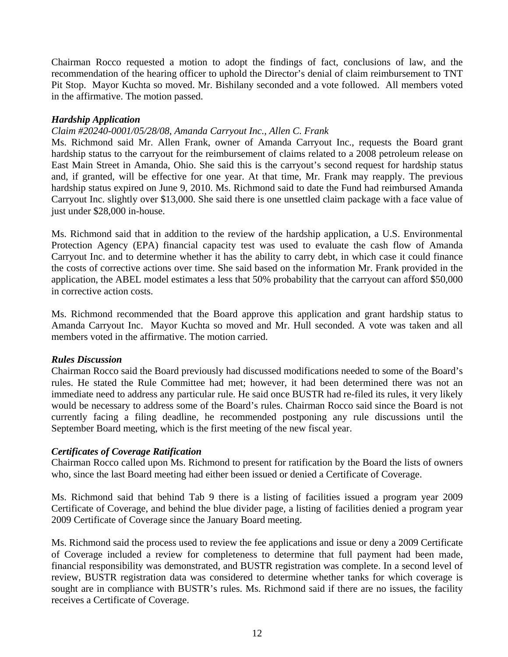Chairman Rocco requested a motion to adopt the findings of fact, conclusions of law, and the recommendation of the hearing officer to uphold the Director's denial of claim reimbursement to TNT Pit Stop. Mayor Kuchta so moved. Mr. Bishilany seconded and a vote followed. All members voted in the affirmative. The motion passed.

## *Hardship Application*

# *Claim #20240-0001/05/28/08, Amanda Carryout Inc., Allen C. Frank*

Ms. Richmond said Mr. Allen Frank, owner of Amanda Carryout Inc., requests the Board grant hardship status to the carryout for the reimbursement of claims related to a 2008 petroleum release on East Main Street in Amanda, Ohio. She said this is the carryout's second request for hardship status and, if granted, will be effective for one year. At that time, Mr. Frank may reapply. The previous hardship status expired on June 9, 2010. Ms. Richmond said to date the Fund had reimbursed Amanda Carryout Inc. slightly over \$13,000. She said there is one unsettled claim package with a face value of just under \$28,000 in-house.

Ms. Richmond said that in addition to the review of the hardship application, a U.S. Environmental Protection Agency (EPA) financial capacity test was used to evaluate the cash flow of Amanda Carryout Inc. and to determine whether it has the ability to carry debt, in which case it could finance the costs of corrective actions over time. She said based on the information Mr. Frank provided in the application, the ABEL model estimates a less that 50% probability that the carryout can afford \$50,000 in corrective action costs.

Ms. Richmond recommended that the Board approve this application and grant hardship status to Amanda Carryout Inc. Mayor Kuchta so moved and Mr. Hull seconded. A vote was taken and all members voted in the affirmative. The motion carried.

#### *Rules Discussion*

Chairman Rocco said the Board previously had discussed modifications needed to some of the Board's rules. He stated the Rule Committee had met; however, it had been determined there was not an immediate need to address any particular rule. He said once BUSTR had re-filed its rules, it very likely would be necessary to address some of the Board's rules. Chairman Rocco said since the Board is not currently facing a filing deadline, he recommended postponing any rule discussions until the September Board meeting, which is the first meeting of the new fiscal year.

## *Certificates of Coverage Ratification*

Chairman Rocco called upon Ms. Richmond to present for ratification by the Board the lists of owners who, since the last Board meeting had either been issued or denied a Certificate of Coverage.

Ms. Richmond said that behind Tab 9 there is a listing of facilities issued a program year 2009 Certificate of Coverage, and behind the blue divider page, a listing of facilities denied a program year 2009 Certificate of Coverage since the January Board meeting.

Ms. Richmond said the process used to review the fee applications and issue or deny a 2009 Certificate of Coverage included a review for completeness to determine that full payment had been made, financial responsibility was demonstrated, and BUSTR registration was complete. In a second level of review, BUSTR registration data was considered to determine whether tanks for which coverage is sought are in compliance with BUSTR's rules. Ms. Richmond said if there are no issues, the facility receives a Certificate of Coverage.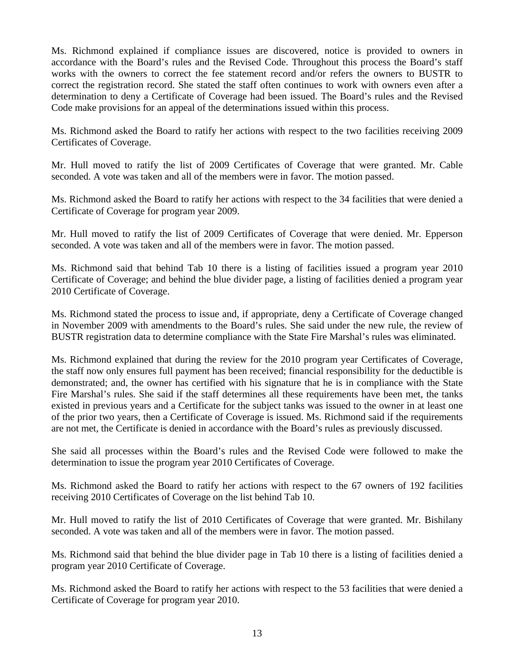Ms. Richmond explained if compliance issues are discovered, notice is provided to owners in accordance with the Board's rules and the Revised Code. Throughout this process the Board's staff works with the owners to correct the fee statement record and/or refers the owners to BUSTR to correct the registration record. She stated the staff often continues to work with owners even after a determination to deny a Certificate of Coverage had been issued. The Board's rules and the Revised Code make provisions for an appeal of the determinations issued within this process.

Ms. Richmond asked the Board to ratify her actions with respect to the two facilities receiving 2009 Certificates of Coverage.

Mr. Hull moved to ratify the list of 2009 Certificates of Coverage that were granted. Mr. Cable seconded. A vote was taken and all of the members were in favor. The motion passed.

Ms. Richmond asked the Board to ratify her actions with respect to the 34 facilities that were denied a Certificate of Coverage for program year 2009.

Mr. Hull moved to ratify the list of 2009 Certificates of Coverage that were denied. Mr. Epperson seconded. A vote was taken and all of the members were in favor. The motion passed.

Ms. Richmond said that behind Tab 10 there is a listing of facilities issued a program year 2010 Certificate of Coverage; and behind the blue divider page, a listing of facilities denied a program year 2010 Certificate of Coverage.

Ms. Richmond stated the process to issue and, if appropriate, deny a Certificate of Coverage changed in November 2009 with amendments to the Board's rules. She said under the new rule, the review of BUSTR registration data to determine compliance with the State Fire Marshal's rules was eliminated.

Ms. Richmond explained that during the review for the 2010 program year Certificates of Coverage, the staff now only ensures full payment has been received; financial responsibility for the deductible is demonstrated; and, the owner has certified with his signature that he is in compliance with the State Fire Marshal's rules. She said if the staff determines all these requirements have been met, the tanks existed in previous years and a Certificate for the subject tanks was issued to the owner in at least one of the prior two years, then a Certificate of Coverage is issued. Ms. Richmond said if the requirements are not met, the Certificate is denied in accordance with the Board's rules as previously discussed.

She said all processes within the Board's rules and the Revised Code were followed to make the determination to issue the program year 2010 Certificates of Coverage.

Ms. Richmond asked the Board to ratify her actions with respect to the 67 owners of 192 facilities receiving 2010 Certificates of Coverage on the list behind Tab 10.

Mr. Hull moved to ratify the list of 2010 Certificates of Coverage that were granted. Mr. Bishilany seconded. A vote was taken and all of the members were in favor. The motion passed.

Ms. Richmond said that behind the blue divider page in Tab 10 there is a listing of facilities denied a program year 2010 Certificate of Coverage.

Ms. Richmond asked the Board to ratify her actions with respect to the 53 facilities that were denied a Certificate of Coverage for program year 2010.